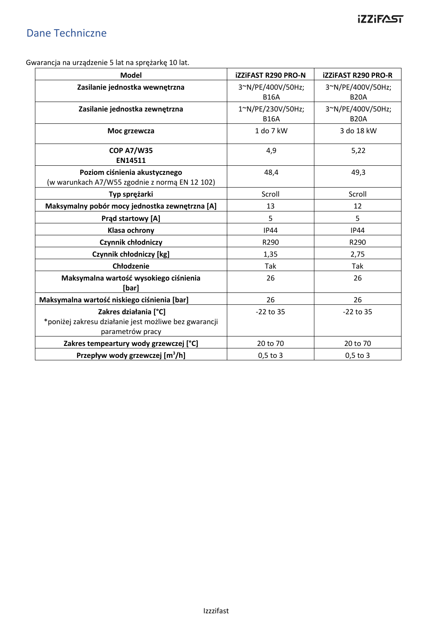# Dane Techniczne

Gwarancja na urządzenie 5 lat na sprężarkę 10 lat.

| <b>Model</b>                                                                                       | <b>iZZiFAST R290 PRO-N</b>       | <b>iZZiFAST R290 PRO-R</b>       |
|----------------------------------------------------------------------------------------------------|----------------------------------|----------------------------------|
| Zasilanie jednostka wewnętrzna                                                                     | 3~N/PE/400V/50Hz;<br><b>B16A</b> | 3~N/PE/400V/50Hz;<br><b>B20A</b> |
| Zasilanie jednostka zewnętrzna                                                                     | 1~N/PE/230V/50Hz;<br><b>B16A</b> | 3~N/PE/400V/50Hz;<br><b>B20A</b> |
| Moc grzewcza                                                                                       | 1 do 7 kW                        | 3 do 18 kW                       |
| <b>COP A7/W35</b><br>EN14511                                                                       | 4,9                              | 5,22                             |
| Poziom ciśnienia akustycznego<br>(w warunkach A7/W55 zgodnie z normą EN 12 102)                    | 48,4                             | 49,3                             |
| Typ sprężarki                                                                                      | Scroll                           | Scroll                           |
| Maksymalny pobór mocy jednostka zewnętrzna [A]                                                     | 13                               | 12                               |
| Prąd startowy [A]                                                                                  | 5                                | 5                                |
| Klasa ochrony                                                                                      | <b>IP44</b>                      | <b>IP44</b>                      |
| Czynnik chłodniczy                                                                                 | R290                             | R290                             |
| Czynnik chłodniczy [kg]                                                                            | 1,35                             | 2,75                             |
| Chłodzenie                                                                                         | <b>Tak</b>                       | Tak                              |
| Maksymalna wartość wysokiego ciśnienia<br>[bar]                                                    | 26                               | 26                               |
| Maksymalna wartość niskiego ciśnienia [bar]                                                        | 26                               | 26                               |
| Zakres działania [°C]<br>*poniżej zakresu działanie jest możliwe bez gwarancji<br>parametrów pracy | $-22$ to 35                      | $-22$ to 35                      |
| Zakres tempeartury wody grzewczej [°C]                                                             | 20 to 70                         | 20 to 70                         |
| Przepływ wody grzewczej [m <sup>3</sup> /h]                                                        | $0,5$ to 3                       | $0,5$ to 3                       |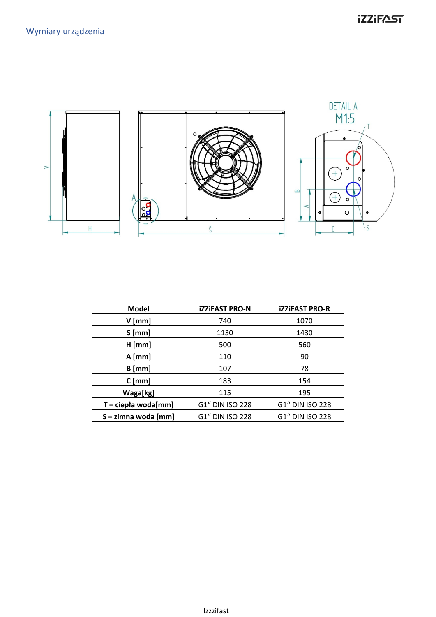

| <b>Model</b>          | <b>iZZIFAST PRO-N</b> | <b>iZZIFAST PRO-R</b> |
|-----------------------|-----------------------|-----------------------|
| $V$ [mm]              | 740                   | 1070                  |
| $S$ [mm]              | 1130                  | 1430                  |
| $H$ [mm]              | 500                   | 560                   |
| $A$ [mm]              | 110                   | 90                    |
| $B$ [mm]              | 107                   | 78                    |
| $C$ [mm]              | 183                   | 154                   |
| Waga[kg]              | 115                   | 195                   |
| $T - ciep/a$ woda[mm] | G1" DIN ISO 228       | G1" DIN ISO 228       |
| S - zimna woda [mm]   | G1" DIN ISO 228       | G1" DIN ISO 228       |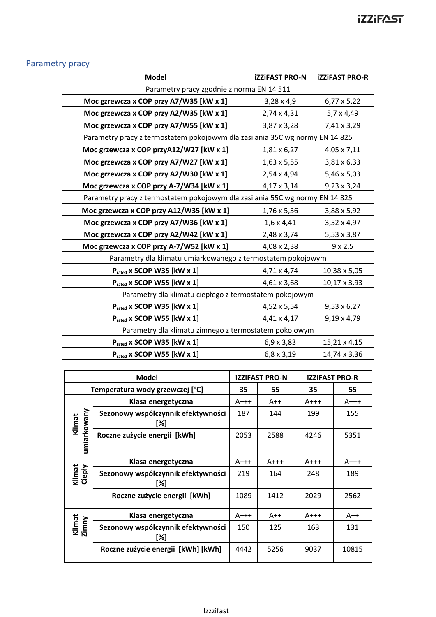## Parametry pracy

| <b>Model</b>                                                                 | <b>iZZiFAST PRO-N</b> | <b>iZZiFAST PRO-R</b> |  |  |  |  |  |
|------------------------------------------------------------------------------|-----------------------|-----------------------|--|--|--|--|--|
| Parametry pracy zgodnie z normą EN 14 511                                    |                       |                       |  |  |  |  |  |
| Moc gzrewcza x COP przy A7/W35 [kW x 1]                                      | $3,28 \times 4,9$     | 6,77 x 5,22           |  |  |  |  |  |
| Moc grzewcza x COP przy A2/W35 [kW x 1]                                      | 2,74 x 4,31           | 5,7 x 4,49            |  |  |  |  |  |
| Moc grzewcza x COP przy A7/W55 [kW x 1]                                      | 3,87 x 3,28           | 7,41 x 3,29           |  |  |  |  |  |
| Parametry pracy z termostatem pokojowym dla zasilania 35C wg normy EN 14 825 |                       |                       |  |  |  |  |  |
| Moc grzewcza x COP przyA12/W27 [kW x 1]                                      | 1,81 x 6,27           | 4,05 x 7,11           |  |  |  |  |  |
| Moc grzewcza x COP przy A7/W27 [kW x 1]                                      | $1,63 \times 5,55$    | 3,81 x 6,33           |  |  |  |  |  |
| Moc grzewcza x COP przy A2/W30 [kW x 1]                                      | 2,54 x 4,94           | 5,46 x 5,03           |  |  |  |  |  |
| Moc grzewcza x COP przy A-7/W34 [kW x 1]                                     | 4,17 x 3,14           | $9,23 \times 3,24$    |  |  |  |  |  |
| Parametry pracy z termostatem pokojowym dla zasilania 55C wg normy EN 14 825 |                       |                       |  |  |  |  |  |
| Moc grzewcza x COP przy A12/W35 [kW x 1]                                     | 1,76 x 5,36           | 3,88 x 5,92           |  |  |  |  |  |
| Moc grzewcza x COP przy A7/W36 [kW x 1]                                      | $1,6 \times 4,41$     | 3,52 x 4,97           |  |  |  |  |  |
| Moc grzewcza x COP przy A2/W42 [kW x 1]                                      | 2,48 x 3,74           | 5,53 x 3,87           |  |  |  |  |  |
| Moc grzewcza x COP przy A-7/W52 [kW x 1]                                     | 4,08 x 2,38           | $9 \times 2,5$        |  |  |  |  |  |
| Parametry dla klimatu umiarkowanego z termostatem pokojowym                  |                       |                       |  |  |  |  |  |
| Prated x SCOP W35 [kW x 1]                                                   | 4,71 x 4,74           | 10,38 x 5,05          |  |  |  |  |  |
| Prated x SCOP W55 [kW x 1]                                                   | 4,61 x 3,68           | 10,17 x 3,93          |  |  |  |  |  |
| Parametry dla klimatu ciepłego z termostatem pokojowym                       |                       |                       |  |  |  |  |  |
| Prated x SCOP W35 [kW x 1]                                                   | 4,52 x 5,54           | $9,53 \times 6,27$    |  |  |  |  |  |
| Prated x SCOP W55 [kW x 1]                                                   | 4,41 x 4,17           | 9,19 x 4,79           |  |  |  |  |  |
| Parametry dla klimatu zimnego z termostatem pokojowym                        |                       |                       |  |  |  |  |  |
| Prated x SCOP W35 [kW x 1]                                                   | $6,9 \times 3,83$     | 15,21 x 4,15          |  |  |  |  |  |
| Prated x SCOP W55 [kW x 1]                                                   | $6,8 \times 3,19$     | 14,74 x 3,36          |  |  |  |  |  |

| <b>Model</b>       |                                           | <b>iZZIFAST PRO-N</b> |        | <b>iZZIFAST PRO-R</b> |         |
|--------------------|-------------------------------------------|-----------------------|--------|-----------------------|---------|
|                    | Temperatura wody grzewczej [°C]           | 35                    | 55     | 35                    | 55      |
|                    | Klasa energetyczna                        | $A+++$                | $A++$  | $A+++$                | $A$ +++ |
| Klimat             | Sezonowy współczynnik efektywności<br>[%] | 187                   | 144    | 199                   | 155     |
| umiarkowany        | Roczne zużycie energii [kWh]              | 2053                  | 2588   | 4246                  | 5351    |
| Klasa energetyczna |                                           | $A+++$                | $A+++$ | $A+++$                | $A+++$  |
| Klimat<br>Ciepły   | Sezonowy współczynnik efektywności<br>[%] | 219                   | 164    | 248                   | 189     |
|                    | Roczne zużycie energii [kWh]              | 1089                  | 1412   | 2029                  | 2562    |
|                    | Klasa energetyczna                        | $A+++$                | $A++$  | $A+++$                | $A++$   |
| Klimat<br>Zimny    | Sezonowy współczynnik efektywności<br>[%] | 150                   | 125    | 163                   | 131     |
|                    | Roczne zużycie energii [kWh] [kWh]        | 4442                  | 5256   | 9037                  | 10815   |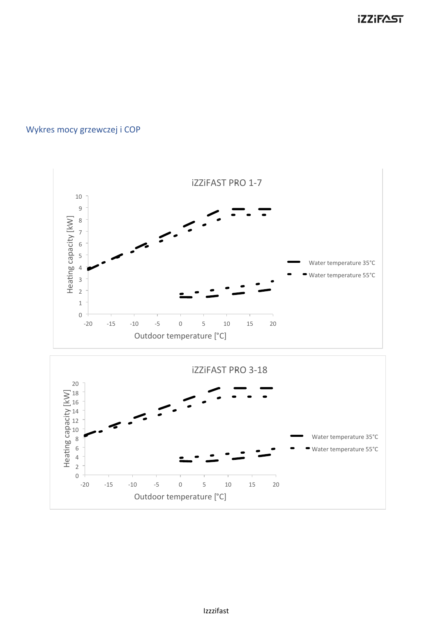#### Wykres mocy grzewczej i COP

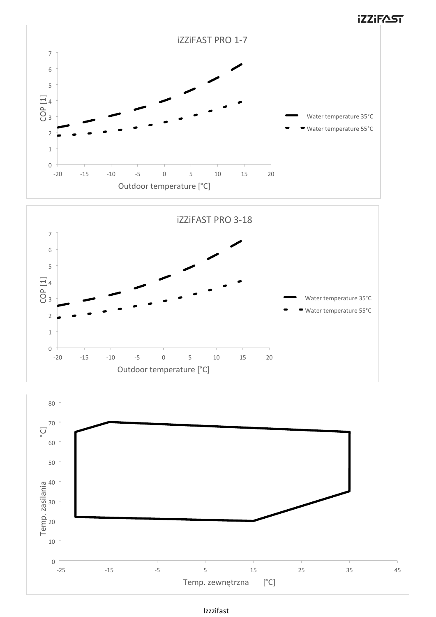



#### Izzzifast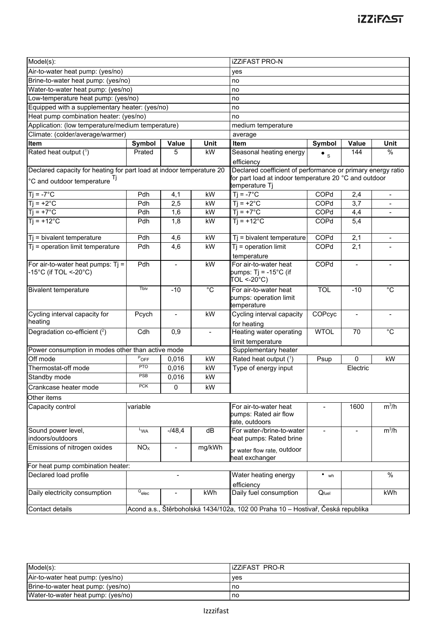| Model(s):                                                                                                                 |                     |                  | <b>iZZiFAST PRO-N</b> |                                                                 |             |                          |                          |
|---------------------------------------------------------------------------------------------------------------------------|---------------------|------------------|-----------------------|-----------------------------------------------------------------|-------------|--------------------------|--------------------------|
| Air-to-water heat pump: (yes/no)                                                                                          |                     |                  | yes                   |                                                                 |             |                          |                          |
| Brine-to-water heat pump: (yes/no)                                                                                        |                     |                  | no                    |                                                                 |             |                          |                          |
| Water-to-water heat pump: (yes/no)                                                                                        |                     |                  | no                    |                                                                 |             |                          |                          |
| Low-temperature heat pump: (yes/no)                                                                                       |                     |                  | no                    |                                                                 |             |                          |                          |
| Equipped with a supplementary heater: (yes/no)                                                                            |                     |                  | no                    |                                                                 |             |                          |                          |
| Heat pump combination heater: (yes/no)                                                                                    |                     |                  | no                    |                                                                 |             |                          |                          |
| Application: (low temperature/medium temperature)                                                                         |                     |                  | medium temperature    |                                                                 |             |                          |                          |
| Climate: (colder/average/warmer)                                                                                          |                     |                  |                       | average                                                         |             |                          |                          |
| <b>Item</b>                                                                                                               | Symbol              | Value            | Unit                  | Item                                                            | Symbol      | Value                    | Unit                     |
| Rated heat output (1)                                                                                                     | Prated              | 5                | kW                    | Seasonal heating energy                                         | $\bullet$ s | 144                      | $\%$                     |
|                                                                                                                           |                     |                  |                       | efficiency                                                      |             |                          |                          |
| Declared capacity for heating for part load at indoor temperature 20                                                      |                     |                  |                       | Declared coefficient of performance or primary energy ratio     |             |                          |                          |
| $^{\circ}$ C and outdoor temperature $^{\mathsf{Tj}}$                                                                     |                     |                  |                       | for part load at indoor temperature 20 $^{\circ}$ C and outdoor |             |                          |                          |
|                                                                                                                           |                     |                  |                       | temperature Tj                                                  |             |                          |                          |
| $Ti = -7^{\circ}C$                                                                                                        | Pdh                 | 4,1              | kW                    | $Ti = -7^{\circ}C$                                              | COPd        | 2,4                      | $\overline{\phantom{a}}$ |
| $Ti = +2°C$                                                                                                               | Pdh                 | 2,5              | kW                    | $\overline{T}$ $\overline{I}$ = +2°C                            | COPd        | 3,7                      |                          |
| $Ti = +7^{\circ}C$                                                                                                        | Pdh                 | 1,6              | kW                    | $Ti = +7^{\circ}C$                                              | COPd        | 4,4                      | $\blacksquare$           |
| $Ti = +12°C$                                                                                                              | Pdh                 | 1,8              | kW                    | $Ti = +12°C$                                                    | COPd        | 5,4                      |                          |
| Tj = bivalent temperature                                                                                                 | Pdh                 | 4,6              | kW                    | Tj = bivalent temperature                                       | COPd        | 2,1                      | $\overline{\phantom{a}}$ |
| $Tj$ = operation limit temperature                                                                                        | Pdh                 | $\overline{4,6}$ | kW                    | $Ti = operation$ limit                                          | <b>COPd</b> | $\overline{2,1}$         |                          |
|                                                                                                                           |                     |                  |                       | temperature                                                     |             |                          |                          |
| For air-to-water heat pumps: $Ti =$                                                                                       | Pdh                 | $\blacksquare$   | kW                    | For air-to-water heat                                           | <b>COPd</b> | $\blacksquare$           |                          |
| -15°C (if TOL <-20°C)                                                                                                     |                     |                  |                       | pumps: Tj = -15°C (if                                           |             |                          |                          |
|                                                                                                                           |                     |                  |                       | TOL <-20°C)                                                     |             |                          |                          |
| <b>Bivalent temperature</b>                                                                                               | Tbiv                | $-10$            | $\overline{C}$        | For air-to-water heat                                           | <b>TOL</b>  | $-10$                    | $^{\circ}C$              |
|                                                                                                                           |                     |                  |                       | pumps: operation limit                                          |             |                          |                          |
|                                                                                                                           |                     |                  |                       | temperature                                                     |             |                          |                          |
| Cycling interval capacity for                                                                                             | Pcych               | $\blacksquare$   | kW                    | Cycling interval capacity                                       | COPcyc      | $\blacksquare$           |                          |
| heating                                                                                                                   |                     |                  |                       | for heating                                                     |             |                          |                          |
| Degradation co-efficient (2)                                                                                              | Cdh                 | 0,9              |                       | Heating water operating                                         | <b>WTOL</b> | 70                       | $^{\circ}C$              |
|                                                                                                                           |                     |                  |                       | limit temperature                                               |             |                          |                          |
| Power consumption in modes other than active mode                                                                         |                     |                  |                       | Supplementary heater                                            |             |                          |                          |
| Off mode                                                                                                                  | $P_{\text{OFF}}$    | 0,016            | kW                    | Rated heat output (1)                                           | Psup        | $\mathbf 0$              | kW                       |
| Thermostat-off mode                                                                                                       | <b>PTO</b>          | 0,016            | kW                    | Type of energy input                                            |             | Electric                 |                          |
| Standby mode                                                                                                              | <b>PSB</b>          | 0,016            | kW                    |                                                                 |             |                          |                          |
| Crankcase heater mode                                                                                                     | PCK                 | 0                | kW                    |                                                                 |             |                          |                          |
| Other items                                                                                                               |                     |                  |                       |                                                                 |             |                          |                          |
| Capacity control                                                                                                          | variable            |                  |                       | For air-to-water heat                                           |             | 1600                     | $m^3/h$                  |
|                                                                                                                           |                     |                  |                       | pumps: Rated air flow                                           |             |                          |                          |
|                                                                                                                           |                     |                  |                       | rate, outdoors                                                  |             |                          |                          |
| Sound power level,                                                                                                        | L <sub>WA</sub>     | $-148,4$         | dB                    | For water-/brine-to-water                                       |             | $\overline{\phantom{a}}$ | $m^3/h$                  |
| indoors/outdoors                                                                                                          |                     |                  |                       | heat pumps: Rated brine                                         |             |                          |                          |
| Emissions of nitrogen oxides                                                                                              | NO <sub>x</sub>     |                  | mg/kWh                | or water flow rate, outdoor<br>heat exchanger                   |             |                          |                          |
| For heat pump combination heater:                                                                                         |                     |                  |                       |                                                                 |             |                          |                          |
| $\overline{\frac{9}{6}}$<br>Declared load profile<br>Water heating energy<br>$\bullet$ wh<br>$\qquad \qquad \blacksquare$ |                     |                  |                       |                                                                 |             |                          |                          |
|                                                                                                                           |                     |                  |                       | efficiency                                                      |             |                          |                          |
| Daily electricity consumption                                                                                             | $Q$ <sub>elec</sub> | $\blacksquare$   | kWh                   | Daily fuel consumption                                          | Qfuel       |                          | kWh                      |
| Contact details                                                                                                           |                     |                  |                       |                                                                 |             |                          |                          |
| Acond a.s., Štěrboholská 1434/102a, 102 00 Praha 10 – Hostivař, Česká republika                                           |                     |                  |                       |                                                                 |             |                          |                          |

| Model(s):                          | lizziFAST PRO-R |
|------------------------------------|-----------------|
| Air-to-water heat pump: (yes/no)   | ves             |
| Brine-to-water heat pump: (yes/no) | no              |
| Water-to-water heat pump: (yes/no) | no              |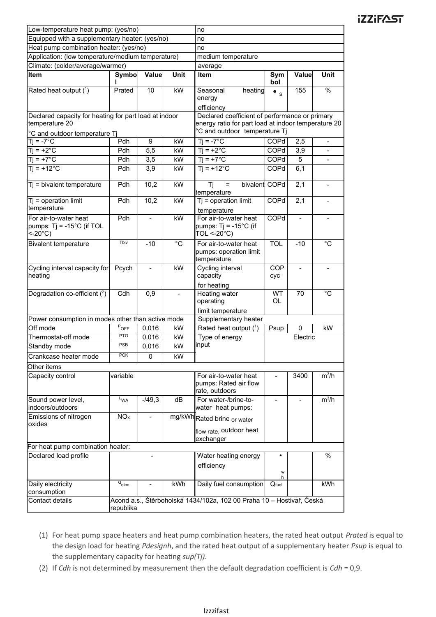| Low-temperature heat pump: (yes/no)                                     |                                                                                    |                          |                | no                                                                                                    |                          |                          |                          |
|-------------------------------------------------------------------------|------------------------------------------------------------------------------------|--------------------------|----------------|-------------------------------------------------------------------------------------------------------|--------------------------|--------------------------|--------------------------|
| Equipped with a supplementary heater: (yes/no)                          |                                                                                    |                          | no             |                                                                                                       |                          |                          |                          |
| Heat pump combination heater: (yes/no)                                  |                                                                                    |                          |                | no                                                                                                    |                          |                          |                          |
| Application: (low temperature/medium temperature)                       |                                                                                    |                          |                | medium temperature                                                                                    |                          |                          |                          |
| Climate: (colder/average/warmer)                                        |                                                                                    |                          | average        |                                                                                                       |                          |                          |                          |
| Item                                                                    | <b>Symbo</b>                                                                       | Value                    | <b>Unit</b>    | Item                                                                                                  | Sym<br>bol               | Value                    | Unit                     |
| Rated heat output (1)                                                   | Prated                                                                             | 10                       | kW             | Seasonal<br>heating                                                                                   | $\bullet$ s              | 155                      | $\overline{\frac{9}{6}}$ |
|                                                                         |                                                                                    |                          |                | energy                                                                                                |                          |                          |                          |
|                                                                         |                                                                                    |                          |                | efficiency                                                                                            |                          |                          |                          |
| Declared capacity for heating for part load at indoor<br>temperature 20 |                                                                                    |                          |                | Declared coefficient of performance or primary<br>energy ratio for part load at indoor temperature 20 |                          |                          |                          |
| °C and outdoor temperature Tj                                           |                                                                                    |                          |                | °C and outdoor temperature Tj                                                                         |                          |                          |                          |
| $Tj = -7^{\circ}C$                                                      | Pdh                                                                                | $\overline{9}$           | kW             | $Tj = -7^{\circ}C$                                                                                    | COPd                     | 2,5                      | $\frac{1}{2}$            |
| $Ti = +2^{\circ}C$                                                      | Pdh                                                                                | 5,5                      | kW             | $Ti = +2^{\circ}C$                                                                                    | COPd                     | 3,9                      |                          |
| $Ti = +7^{\circ}C$                                                      | Pdh                                                                                | 3,5                      | kW             | $Ti = +7^{\circ}C$                                                                                    | <b>COPd</b>              | 5                        |                          |
| $Ti = +12^{\circ}C$                                                     | Pdh                                                                                | 3,9                      | kW             | $Ti = +12^{\circ}C$                                                                                   | <b>COPd</b>              | 6,1                      |                          |
| $Tj = bivalent temperature$                                             | Pdh                                                                                | 10,2                     | kW             | Ti<br>bivalent COPd<br>$\equiv$<br>temperature                                                        |                          | 2,1                      | $\blacksquare$           |
| $Tj = operation$ limit<br>temperature                                   | Pdh                                                                                | 10,2                     | kW             | $Tj$ = operation limit<br>temperature                                                                 | COPd                     | 2,1                      |                          |
| For air-to-water heat                                                   | Pdh                                                                                | $\overline{\phantom{0}}$ | kW             | For air-to-water heat                                                                                 | COPd                     | $\overline{\phantom{a}}$ |                          |
| pumps: $Tj = -15^{\circ}C$ (if TOL<br>$<$ -20 $^{\circ}$ C)             |                                                                                    |                          |                | pumps: Tj = -15°C (if<br>TOL <-20°C)                                                                  |                          |                          |                          |
| <b>Bivalent temperature</b>                                             | Tbiv                                                                               | $-10$                    | $\overline{c}$ | For air-to-water heat<br>pumps: operation limit<br>temperature                                        | <b>TOL</b>               | $-10$                    | $^{\circ}C$              |
| Cycling interval capacity for<br>heating                                | Pcych                                                                              | $\overline{\phantom{0}}$ | kW             | Cycling interval<br>capacity<br>for heating                                                           | <b>COP</b><br>cyc        | $\overline{\phantom{a}}$ |                          |
| Degradation co-efficient (2)                                            | Cdh                                                                                | 0,9                      |                | Heating water<br>operating                                                                            | <b>WT</b><br><b>OL</b>   | 70                       | $^{\circ}$ C             |
| Power consumption in modes other than active mode                       |                                                                                    |                          |                | limit temperature<br>Supplementary heater                                                             |                          |                          |                          |
| Off mode                                                                | POFF                                                                               | 0,016                    | kW             | Rated heat output $(^1)$                                                                              | Psup                     | $\mathbf 0$              | kW                       |
| Thermostat-off mode                                                     | <b>PTO</b>                                                                         | 0,016                    | kW             | Type of energy                                                                                        |                          | Electric                 |                          |
| Standby mode                                                            | <b>PSB</b>                                                                         | 0,016                    | kW             | input                                                                                                 |                          |                          |                          |
| Crankcase heater mode                                                   | <b>PCK</b>                                                                         | 0                        | kW             |                                                                                                       |                          |                          |                          |
|                                                                         |                                                                                    |                          |                |                                                                                                       |                          |                          |                          |
| Other items                                                             |                                                                                    |                          |                |                                                                                                       |                          |                          |                          |
| Capacity control                                                        | variable                                                                           |                          |                | For air-to-water heat<br>pumps: Rated air flow<br>rate, outdoors                                      |                          | 3400                     | $m^3/h$                  |
| Sound power level,<br>indoors/outdoors                                  | L <sub>WA</sub>                                                                    | $-149,3$                 | dB             | For water-/brine-to-<br>water heat pumps:                                                             | $\overline{\phantom{a}}$ | $\overline{\phantom{a}}$ | $m^3/h$                  |
| Emissions of nitrogen                                                   | NO <sub>x</sub>                                                                    |                          |                | mg/kWh Rated brine or water                                                                           |                          |                          |                          |
| oxides                                                                  |                                                                                    |                          |                | flow rate, outdoor heat                                                                               |                          |                          |                          |
|                                                                         | exchanger                                                                          |                          |                |                                                                                                       |                          |                          |                          |
| For heat pump combination heater:                                       |                                                                                    |                          |                |                                                                                                       |                          | $\%$                     |                          |
| Declared load profile                                                   |                                                                                    |                          |                | Water heating energy<br>efficiency                                                                    | W                        |                          |                          |
| Daily electricity                                                       | $Q_{elec}$                                                                         | $\overline{a}$           | kWh            | Daily fuel consumption                                                                                | h<br>$Q$ fuel            |                          | kWh                      |
| consumption                                                             |                                                                                    |                          |                |                                                                                                       |                          |                          |                          |
| Contact details                                                         | Acond a.s., Štěrboholská 1434/102a, 102 00 Praha 10 – Hostivař, Česká<br>republika |                          |                |                                                                                                       |                          |                          |                          |

- (1) For heat pump space heaters and heat pump combination heaters, the rated heat output *Prated* is equal to the design load for heating *Pdesignh*, and the rated heat output of a supplementary heater *Psup* is equal to the supplementary capacity for heating *sup(Tj)*.
- (2) If *Cdh* is not determined by measurement then the default degradation coefficient is *Cdh* = 0,9.

#### Izzzifast